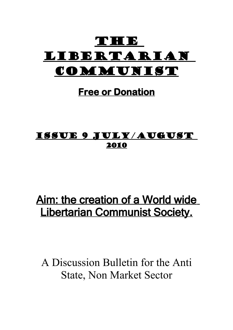

# **Free or Donation**

# Issue 9 July/August 2010

# Aim: the creation of a World wide Libertarian Communist Society.

A Discussion Bulletin for the Anti State, Non Market Sector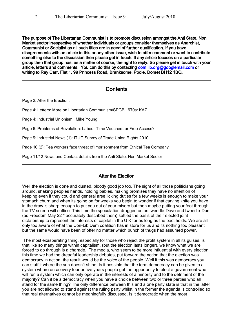The purpose of The Libertarian Communist is to promote discussion amongst the Anti State, Non Market sector irrespective of whether individuals or groups consider themselves as Anarchist, Communist or Socialist as all such titles are in need of further qualification. If you have disagreements with an article in this or any other issue, wish to offer comment or want to contribute something else to the discussion then please get in touch. If any article focuses on a particular group then that group has, as a matter of course, the right to reply. So please get in touch with your article, letters and comments. You can do this by contacting [com.lib.org@googlemail.com](mailto:com.lib.org@googlemail.com) or writing to Ray Carr, Flat 1, 99 Princess Road, Branksome, Poole, Dorset BH12 1BQ.

## **Contents**

Page 2: After the Election.

Page 4: Letters: More on Libertarian Communism/SPGB 1970s: KAZ

Page 4: Industrial Unionism : Mike Young

Page 6: Problems of Revolution: Labour Time Vouchers or Free Access?

Page 9: Industrial News (1): ITUC Survey of Trade Union Rights 2010

Page 10 (2): Tea workers face threat of imprisonment from Ethical Tea Company

Page 11/12 News and Contact details from the Anti State, Non Market Sector

## After the Election

Well the election is done and dusted, bloody good job too. The sight of all those politicians going around, shaking peoples hands, holding babies, making promises they have no intention of keeping even if they could and general arse licking duties for a few weeks is enough to make your stomach churn and when its going on for weeks you begin to wonder if that carving knife you have in the draw is sharp enough to put you out of your misery but then maybe putting your foot through the TV screen will suffice. This time the speculation dragged on as tweedle-Dave and tweedle-Dum (as Freedom May 22nd accurately described them) settled the basis of their elected joint dictatorship to represent the interests of capital in the U K for as long as the pact holds. We are all only too aware of what the Con-Lib Dem coalition has in store for us and its nothing too pleasant but the same would have been of offer no matter which bunch of thugs had assumed power.

 The most exasperating thing, especially for those who reject the profit system in all its guises, is that like so many things within capitalism, (but the election lasts longer), we know what we are forced to go through is a charade. The media, who seem to be more influential with every election this time we had the dreadful leadership debates, put forward the notion that the election was democracy in action; the result would be the voice of the people. Well if this was democracy you can stuff it where the sun doesn't shine. Is it possible that the term democracy can be given to a system where once every four or five years people get the opportunity to elect a government who will run a system which can only operate in the interests of a minority and to the detriment of the majority? Can it be a democracy when you have a choice between two or three parties who all stand for the same thing? The only difference between this and a one party state is that in the latter you are not allowed to stand against the ruling party whilst in the former the agenda is controlled so that real alternatives cannot be meaningfully discussed. Is it democratic when the most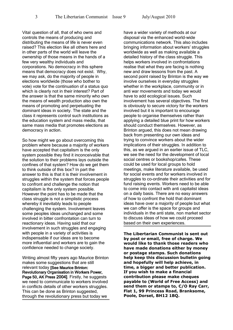Vital question of all, that of who owns and controls the means of producing and distributing the means of life is never even raised? This election like all others here and in other parts of the world will leave the ownership of those means in the hands of a few very wealthy individuals and corporations. No democracy in this sphere means that democracy does not exist. Why, we may ask, do the majority of people in elections worldwide (those who bother to vote) vote for the continuation of a status quo which is clearly not in their interest? Part of the answer is that the same minority who own the means of wealth production also own the means of promoting and perpetuating the dominant ideas in society. The state and the class it represents control such institutions as the education system and mass media, that same mass media that promotes elections as democracy in action.

So how might we go about overcoming this problem where because a majority of workers have accepted that capitalism is the only system possible they find it inconceivable that the solution to their problems lays outside the confines of that system? How do we get them to think outside of this box? In part the answer to this is that it is their involvement in struggles within the system that forces people to confront and challenge the notion that capitalism is the only system possible. However the point has to be made that the class struggle is not a simplistic process whereby it inevitably leads to people challenging the system. Involvement leaves some peoples ideas unchanged and some involved in bitter confrontation can turn to reactionary ideas. Having said that our involvement in such struggles and engaging with people in a variety of activities is indispensable if our ideas are to become more influential and workers are to gain the confidence needed to change society.

Writing almost fifty years ago Maurice Brinton makes some suggestions that are still relevant today **[See Maurice Brinton:** Revolutionary Organisation in Workers Power, Page 50, AK Press 20041. Firstly, he suggests we need to communicate to workers involved in conflicts details of other workers struggles. This can be done as Brinton suggested, through the revolutionary press but today we

have a wider variety of methods at our disposal via the enhanced world-wide communications network. This also includes bringing information about workers' struggles worldwide as well as making available a detailed history of the class struggle. This helps workers involved in confrontations realise that what they are facing is nothing new and draw lessons from the past. A second point raised by Brinton is the way we involve ourselves in everyday struggles whether in the workplace, community or in anti war movements and today we would have to add ecological issues. Such involvement has several objectives. The first is obviously to secure victory for the workers involved but it is important to encourage people to organise themselves rather than applying a detailed blue print for how workers should conduct themselves. However, as Brinton argued, this does not mean drawing back from presenting our own ideas and trying to convince workers about the wider implications of their struggles. In addition to this, as we argued in an earlier issue of TLC, we see the need for the development of local social centres or bookshop/cafes. These could be used for local groups to hold meetings, make literature available, be used for social events and for workers involved in struggles to co-ordinate their activities and for fund raising events. Workers need to be able to come into contact with anti capitalist ideas on a daily basis. There are no easy answers of how to confront the hold that dominant ideas have over a majority of people but what we can offer is the space for groups and individuals in the anti state, non market sector to discuss ideas of how we could proceed based on their own experiences.

**The Libertarian Communist is sent out by post or email, free of charge. We would like to thank those readers who have made donations either by money or postage stamps. Such donations help keep this discussion bulletin going and hopefully will help achieve, in time, a bigger and better publication. If you wish to make a financial contribution please make cheques payable to (World of Free Access) and send them or stamps to, C/O Ray Carr, Flat 1, 99 Princess Road, Branksome, Poole, Dorset, BH12 1BQ.**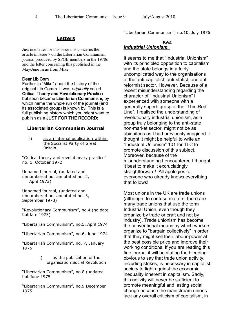#### **Letters**

Just one letter for this issue this concerns the article in issue 7 on the Libertarian Communism journal produced by SPGB members in the 1970s and the letter concerning this published in the May/June issue from Mike.

#### Dear Lib Com

Further to "Mike" about the history of the original Lib Comm. It was *originally* called Critical Theory and Revolutionary Practice but soon became Libertarian Communism, by which name the whole run of the journal (and its associated group) is known by. This is a full publishing history which you might want to publish as a JUST FOR THE RECORD:

#### **Libertarian Communism Journal**

i) as an internal publication within the Socialist Party of Great Britain.

"Critical theory and revolutionary practice" no. 1, October 1972

Unnamed journal, (undated and unnumbered but annotated no. 2, April 1973)

Unnamed journal, (undated and unnumbered but annotated no. 3, September 1973)

"Revolutionary Communism", no.4 (no date but late 1973)

"Libertarian Communism", no.5, April 1974

"Libertarian Communism", no.6, June 1974

"Libertarian Communism", no. 7, January 1975

> ii) as the publication of the organisation Social Revolution

"Libertarian Communism", no.8 (undated but June 1975

"Libertarian Communism", no.9 December 1975

"Libertarian Communism", no.10, July 1976

#### **KAZ**  *Industrial Unionism.*

It seems to me that "Industrial Unionism" with its principled opposition to capitalism and the state belongs in a fairly uncomplicated way to the organisations of the anti-capitalist, anti-statist, and antireformist sector. However, Because of a recent misunderstanding regarding the character of "Industrial Unionism" I experienced with someone with a generally superb grasp of the "Thin Red Line", I realised the understanding of revolutionary industrial unionism, as a group truly belonging to the anti-state non-market sector, might not be as ubiquitous as I had previously imagined. I thought it might be helpful to write an "Industrial Unionism" 101 for TLC to promote discussion of this subject. Moreover, because of the misunderstanding I encountered I thought it best to make it excruciatingly straightforward! All apologies to everyone who already knows everything that follows!

Most unions in the UK are trade unions (although, to confuse matters, there are many trade unions that use the term Industrial Union, even though they organize by trade or craft and not by industry). Trade unionism has become the conventional means by which workers organize to "bargain collectively" in order that they might sell their labour-power at the best possible price and improve their working conditions. If you are reading this fine journal it will be stating the bleeding obvious to say that trade union activity, including strikes, is necessary in capitalist society to fight against the economic inequality inherent in capitalism. Sadly, this activity will never be sufficient to promote meaningful and lasting social change because the mainstream unions lack any overall criticism of capitalism, in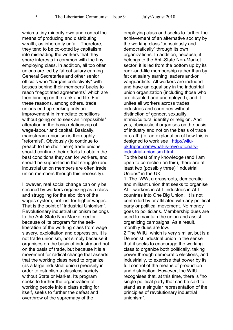which a tiny minority own and control the means of producing and distributing wealth, as inherently unfair. Therefore, they tend to be co-opted by capitalism into misleading the workers that they share interests in common with the tiny employing class. In addition, all too often unions are led by fat cat salary earning General Secretaries and other senior officials who "bargain collectively" with bosses behind their members' backs to reach "negotiated agreements" which are then binding on the rank and file. For these reasons, among others, trade unions end up seeking only an improvement in immediate conditions without going on to seek an "impossible" alteration in the basic relationship of wage-labour and capital. Basically, mainstream unionism is thoroughly "reformist". Obviously (to continue to preach to the choir here) trade unions should continue their efforts to obtain the best conditions they can for workers, and should be supported in that struggle (and industrial union members are often trade union members through this necessity).

However, real social change can only be secured by workers organizing as a class and struggling for the abolition of the wages system, not just for higher wages. That is the point of "Industrial Unionism". Revolutionary industrial unionism belongs to the Anti-State Non-Market sector because of its program for the selfliberation of the working class from wage slavery, exploitation and oppression. It is not trade unionism, not simply because it organises on the basis of industry and not on the basis of trade, but because it is a movement for radical change that asserts that the working class need to organize (as a large industrial union) precisely in order to establish a classless society without State or Market. Its program seeks to further the organization of working people into a class acting for itself, seeks to further the defeat and overthrow of the supremacy of the

employing class and seeks to further the achievement of an alternative society by the working class "consciously and democratically" through its own organizations. In addition, because, it belongs to the Anti-State Non-Market sector, it is led from the bottom up by its rank-and-file membership rather than by fat cat salary earning leaders and/or vanguardists. All workers are included and have an equal say in the industrial union organization (including those who are disabled and unemployed), and it unites all workers across trades, industries and countries without distinction of gender, sexuality, ethnic/cultural identity or religion. And yes, obviously, it organises on the basis of industry and not on the basis of trade or craft! (for an explanation of how this is designed to work see [http://wiiu](http://wiiu-uk.tripod.com/what-is-revolutionary-industrial-unionism.html)[uk.tripod.com/what-is-revolutionary](http://wiiu-uk.tripod.com/what-is-revolutionary-industrial-unionism.html)[industrial-unionism.html](http://wiiu-uk.tripod.com/what-is-revolutionary-industrial-unionism.html)

To the best of my knowledge (and I am open to correction on this), there are at least two (possibly three) "Industrial Unions" in the UK:

1. The IWW, a grassroots, democratic and militant union that seeks to organise ALL workers in ALL industries in ALL countries into One Big Union. It is not controlled by or affiliated with any political party or political movement. No money goes to politicians. Membership dues are used to maintain the union and assist organizing campaigns. As a result, monthly dues are low.

2.The WIIU, which is very similar, but is a Deleonist industrial union in the sense that it seeks to encourage the working class to organize both politically, taking power through democratic elections, and industrially, to exercise that power by its full control of the means of production and distribution. However, the WIIU recognises that, at this time, there is "no single political party that can be said to stand as a singular representation of the principles of revolutionary industrial unionism".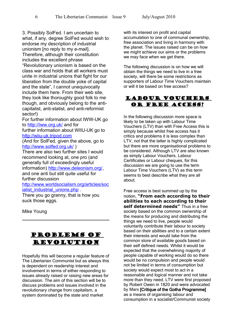3. Possibly SolFed. I am uncertain to what, if any, degree SolFed would wish to endorse my description of industrial unionism [no reply to my e-mail]. Therefore, although their constitution includes the excellent phrase "Revolutionary unionism is based on the class war and holds that all workers must unite in industrial unions that fight for our liberation from the double yoke of capital and the state", I cannot unequivocally include them here. From their web site, they look like thoroughly good folk to me though, and obviously belong to the anticapitalist, anti-statist, and anti-reformist sector!)

For further information about IWW-UK go to<http://iww.org.uk/>and for

further information about WIIU-UK go to [http://wiiu-uk.tripod.com](http://wiiu-uk.tripod.com/)

(And for SolFed, given the above, go to <http://www.solfed.org.uk/>)

There are also two further sites I would recommend looking at, one pro (and generally full of exceedingly useful information) [http://www.deleonism.org/,](http://www.deleonism.org/) and one anti but still quite useful for further discussion

[http://www.worldsocialism.org/articles/soc](http://www.worldsocialism.org/articles/socialist_industrial_unions.php) ialist industrial unions.php

There you go granny, that is how you suck those eggs.

Mike Young

## Problems of Revolution

Hopefully this will become a regular feature of The Libertarian Communist but as always this is dependent on readership interest and involvement in terms of either responding to issues already raised or raising new areas for discussion. The aim of this section will be to discuss problems and issues involved in the revolutionary change from capitalism, a system dominated by the state and market

with its interest on profit and capital accumulation to one of communal ownership, free association and living in harmony with the planet. The issues raised can be on how we might achieve our aims or the problems we may face when we get there.

The following discussion is on how we will obtain the things we need to live in a free society, will there be some restrictions as supporters of Labour Time Vouchers maintain or will it be based on free access?



In the following discussion more space is likely to be taken up with Labour Time Vouchers (LTV) than with Free Access this is simply because whilst free access has it critics and problems it is less complex than LTV, not that the latter is highly complicated but there are more organisational problems to be considered. Although LTV are also known as simply Labour Vouchers, Labour Certificates or Labour cheques, for this discussion we are going to use the term Labour Time Vouchers (LTV) as this term seems to best describe what they are all about.

Free access is best summed up by the notion, **"From each according to their abilities to each according to their self determined needs"** Thus in a free society based on the common ownership of the means for producing and distributing the things we need to live, people would voluntarily contribute their labour to society based on their abilities and to a certain extent their interests and would take from the common store of available goods based on their self defined needs. Whilst it would be expected that the overwhelming majority of people capable of working would do so there would be no compulsion and people would not be limited in terms of consumption but society would expect most to act in a reasonable and logical manner and not take more than they need. LTV were first proposed by Robert Owen in 1820 and were advocated by Marx [Critique of the Gotha Programme] as a means of organising labour and consumption in a socialist/Communist society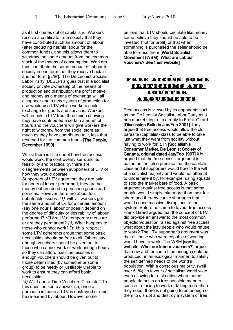as it first comes out of capitalism. Workers receive a certificate from society that they have contributed such an amount of labour (after deducting her/his labour for the common funds), and this allows them to withdraw the same amount from the common stock of the means of consumption. Workers thus contribute the same amount of labour to society in one form that they receive back in another form {p.16]. The De Leonist Socialist Labor Party (DLSLP) argues that in a socialist society private ownership of the means of production and distribution, the profit motive and money as a means of exchange will all disappear and a new system of production for use would use LTV which workers could exchange for goods and services. Workers will receive a LTV from their union showing they have contributed a certain amount of hours and the vouchers will give workers the right to withdraw from the social store as much as they have contributed to it, less that reserved for the common funds [The People, December 1999].

Whilst there is little doubt how free access would work, the controversy surround its feasibility and practicality, there are disagreements between supporters of LTV of how they would operate.

Supporters of LTV agree that they are paid for hours of labour performed; they are not money but are used to purchase goods and services. However there are about four debateable issues .(1) will all workers get the same amount of LV for a certain amount (say one hour's labour or does it depend on the degree of difficulty or desirability of labour performed? (2) Are LV a temporary measure or are they permanent? (3) What happens to those who cannot work? In this respect some LTV adherents argue that some basic necessities should be free to all. Others say enough vouchers should be given out to those who cannot work or work enough hours so they can afford basic necessities or enough vouchers should be given out to those determined (by someone or some group) to be needy or justifiably unable to work to ensure they can afford basic necessities.

(4) Will Labour Time Vouchers Circulate? To this question some answer no, once a purchase is made a LTV is destroyed or must be re-earned by labour. However some

believe that LTV should circulate like money, some believe they should be able to be invested (not for profit) or that when something is purchased the seller should be able to reuse them [World Socialist Movement (WSM), What are Labour Vouchers? See their website]

## Free access: some criticisms and counter arguements

 $\overline{a}$ 

Free access is viewed by its opponents such as the De Leonist Socialist Labor Party as a non market utopia. In a reply to Frank Girard [Discussion Bulletin Jan/Feb 2001] They argue that free access would allow the old parasite (capitalist) class to be able to take just what they want from society without having to work for it. In [Socialism's Consumer Market, De Leonist Society of Canada, original dated Jan/Feb 1997] it is argued that the free access argument is based on the false premise that the capitalist class and it supporters would bow to the will of a socialist majority and would not attempt to undermine it by, for example, using squads to strip the market bare of food. A basic argument against free access is that some people would simply take more than their fair share and thereby cause shortages that would cause massive disruptions to the system. Before he came to favour free access Frank Girard argued that the concept of LTV did provide an answer to the most common objection/question raised against free access; what about the lazy people who would refuse to work? The LTV supporter's argument was that all those who were capable of working would have to work. The WSM [see its website, What are labour vouchers?] argue that now and for some time enough could be produced, in an ecological manner, to satisfy the self defined needs of the world's population. With a conscious majority, (well over 51%), in favour of socialism world wide even allowing for a situation where some people do act in an irresponsible manner, such as refusing to work or taking more than they need, there is not going to be enough of them to disrupt and destroy a system of free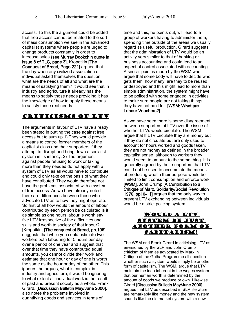access. To this the argument could be added that free access cannot be related to the sort of mass consumption we see in the advanced capitalist systems where people are urged to change products constantly in order to increase sales {see Murray Bookchin quote in issue 8 of TLC, page 3]. Kropotkin [The Conquest of Bread, Page 221] argued that the day when any civilized association of individual asked themselves the question what are the needs of all and what are the means of satisfying them? It would see that in industry and agriculture it already has the means to satisfy those needs providing it has the knowledge of how to apply those means to satisfy those real needs.

## Criticisms of LTV

The arguments in favour of LTV have already been stated in putting the case against free access but to sum up 1) They would provide a means to control former members of the capitalist class and their supporters if they attempt to disrupt and bring down a socialist system in its infancy. 2) The argument against people refusing to work or taking more than they needed do not apply with a system of LTV as all would have to contribute and could only take on the basis of what they have contributed. They would therefore not have the problems associated with a system of free access. As we have already noted there are differences between those who advocate LTV as to how they might operate. So first of all how would the amount of labour contributed by each person be calculated is it as simple as one hours labour is worth say five LTV irrespective of the difficulties and skills and worth to society of that labour? [Kropotkin, [The conquest of Bread, pp.196], suggests that while you could estimate two workers both labouring for 5 hours per day over a period of one year and suggest that over that time they have contributed equal amounts, you cannot divide their work and estimate that one hour or day of one is worth the same as the hour or day of the other. This ignores, he argues, what is complex in industry and agriculture, it would be ignoring to what extent all individual work is the result of past and present society as a whole. Frank Girard, [Discussion Bulletin May/June 2000], also notes the problems involved in quantifying goods and services in terms of

time and this, he points out, will lead to a group of workers having to administer them, spending time outside of the areas we usually regard as useful production. Girard suggests that the administration of LTV would be an activity very similar to that of banking or business accounting and could lead to an aspect of control associated with accounting. A similar point is made by the WSM who argue that some body will have to decide who gets them, how many, are they to be reused or destroyed and this might lead to more than simple administration, the system might have to be policed with some engaged in activities to make sure people are not taking things they have not paid for. [WSM: What are Labour Vouchers?]

As we have seen there is some disagreement between supporters of LTV over the issue of whether LTVs would circulate. The WSM argue that If LTV circulate they are money but if they do not circulate but are only used to account for hours worked and goods taken, they are not money as defined in the broader capitalist sense, although to workers they would seem to amount to the same thing. It is generally agreed by their supporters that LTV could not be used to accumulate the means of producing wealth their purpose would be limited to limit consumption and enforce work [WSM]. John Crump [A Contribution to a Critique of Marx, Solidarity/Social Revolution 1976, pp10-11] argues that the only way to prevent LTV exchanging between individuals would be a strict policing system.

## Would a LTV system be just another form of capitalism?

The WSM and Frank Girard in criticising LTV as envisioned by the SLP and John Crump criticism of them as advocated by Marx in Critique of the Gotha Programme all question whether such a system would simply be another form of capitalism. The WSM, argue that LTV maintain the idea inherent in the wages system that our human worth is determined by the amount of goods we produce or own. Likewise Girard [Discussion Bulletin May/June 2000] argues that LTV as described in SLP literature are remarkably like money and the new system sounds like the old market system with a new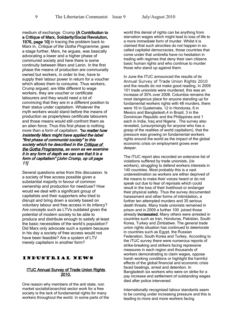medium of exchange. Crump {A Contribution to a Critique of Marx, Solidarity/Social Revolution, 1976, page 101 in tracing the problem back to Marx in, Critique of the Gotha Programme, goes a stage further, Marx, he argues, was basically advocating a lower and a higher phase of communist society and here there is some continuity between Marx and Lenin. In the first phase the means of production are communally owned but workers, in order to live, have to supply their labour power in return for a voucher which allows them to consume. Thus workers, Crump argued, are little different to wage workers, they are voucher or certificate labourers and they would need a lot of convincing that they are in a different position to their status under capitalism. Whatever the myth workers would stand before the means of production as propertyless certificate labourers and those means would still confront them as an alien force. Thus this first phase is nothing more than a form of capitalism. "no matter how insistently Marx might have applied the label "first phase of communist society" to this society which he described in the Critique of the Gotha Programme, as soon as we examine it in any form of depth we can see that it is a form of capitalism" [John Crump, op cit page 11]

Several questions arise from this discussion. Is a society of free access possible given a substantial majority in favour of common ownership and production for need/use? How would we deal with a significant group of capitalists and their supporters who tried to disrupt and bring down a society based on voluntary labour and free access in its infancy? Are concepts such as LTVs outdated given the potential of modern society to be able to produce and distribute enough to satisfy at least the basic necessities of the world's population? Did Marx only advocate such a system because in his day a society of free access would not have been feasible? Are a system of LTV merely capitalism in another form?

### Industrial News

#### **ITUC Annual Survey of Trade Union Rights** 2010.

One reason why members of the anti state, non market socialist/anarchist sector work for a free society is the lack of fundamental rights for many workers throughout the world. In some parts of the world this denial of rights can be anything from starvation wages which might lead to loss of life to a more immediate form of murder. Whilst it is claimed that such atrocities do not happen in socalled capitalist democracies, those countries that come under that umbrella have no hesitation in trading with regimes that deny their own citizens basic human rights and who continue to murder those who stand up against them.

In June the ITUC announced the results of its Annual Survey of Trade Union Rights 2010 and the results do not make good reading. In 2009 101 trade unionists were murdered, this was an increase of 30% over 2008. Columbia remains the most dangerous place for anyone standing up for fundamental workers rights with 48 murders, there were 16 in Guatemala, 12 in Honduras, 6 in Mexico and Bangladesh,4 in Brazil, 3 in the Dominican Republic and the Philippines and 1 each in India, Iraq and Nigeria . The survey also revealed, (unsurprisingly for anyone who has a grasp of the realities of world capitalism), that the pressure was growing on fundamental workers rights around the world as the impact of the global economic crisis on employment grows ever deeper.

The ITUC report also recorded an extensive list of violations suffered by trade unionists, (i/e workers), struggling to defend workers interests in 140 countries. Most probably this is a vast underestimation as workers are either deprived of the means to make their voices heard or do not speak out due to fear of reprisals which could result in the loss of their livelihood or endanger their physical safety. Thus the survey documented harassment and other forms of intimidation, a further ten attempted murders and 35 serious death threats. Many trade unionists remained in prison and in 2009 a further 100 joined those already incrassated. Many others were arrested in countries such as Iran, Honduras, Pakistan, South Korea, Turkey and Zimbabwe. The general trade union rights situation has continued to deteriorate in countries such as Egypt, the Russian Federation, South Korea and Turkey. According to the ITUC survey there were numerous reports of strike-breaking and strikers facing repressive measures in each region and thousands of workers demonstrating to claim wages, oppose harsh working conditions or highlight the harmful effects of the global financial and economic crisis faced beatings, arrest and detention. In Bangladesh six workers who were on strike for a pay increase and settlement of outstanding wages died after police intervened.

Internationally recognised labour standards seem to be coming under increasing pressure and this is leading to more and more workers facing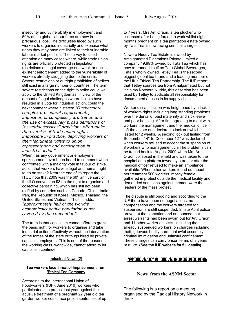insecurity and vulnerability in employment and 50% of the global labour force are now in precarious jobs. The difficulties faced by such workers to organise industrially and exercise what rights they may have are linked to their vulnerable labour market position. The survey focused attention on many cases where, while trade union rights are officially protected in legislation, restrictions on legal coverage and weak or nonexistent enforcement added to the vulnerability of workers already struggling due to the crisis. Severe restrictions or outright prohibition of strikes still exist in a large number of countries. The term severe restrictions on the right to strike could well apply to the United Kingdom as, in view of the amount of legal challenges where ballots have resulted in a vote for industrial action, could the next comment where it states: *"Furthermore complex procedural requirements, imposition of compulsory arbitration and the use of excessively broad definitions of "essential services" provisions often make the exercise of trade union rights impossible in practice, depriving workers of their legitimate rights to union representation and participation in industrial action".*

When has any government or employer's spokesperson ever been heard to comment when confronted with a majority vote in favour of strike action that workers have a legal and human right to go on strike? Near the end of its report the ITUC note that 2009 was the  $60<sup>th</sup>$  anniversary of the ILO convention 98 on the right to organise and collective bargaining, which has still not been ratified by countries such as Canada, China, India, Iran, the Republic of Korea, Mexico, Thailand, the United States and Vietnam. Thus, it adds: *"approximately half of the world's economically active population is not covered by the convention".*

The truth is that capitalism cannot afford to grant the basic right for workers to organise and take industrial action effectively without the intervention of the forces of the state or thugs hired by private capitalist employers. This is one of the reasons the working class, worldwide, cannot afford to let capitalism continue.

#### Industrial News (2)

#### Tea workers face threat of Imprisonment from "Ethical Tea Company

According to the International Union of Foodworkers (IUF), June 2010) workers who participated in a protest last year against the abusive treatment of a pregnant 22 year old tea garden worker could face prison sentences of up to 7 years. Mrs Arti Oraon, a tea plucker who collapsed after being forced to work whilst eight months pregnant on a tea plantation estate owned by Tata Tea is now facing criminal charges.

Nowera Nuddy Tea Estate is owned by Amalgamated Plantations Private Limited a company 49.98% owned by Tata Tea which has now rebranded itself as Tata Global Beverages, Tata's wholly owned Tetley Tea is the second biggest global tea brand and a leading member of the UK's Ethical Tea Partnership. The IUF report that Tetley sources tea from Amalgamated but not it claims Norwera Nuddy, this assertion has been used by Tetley to abdicate all responsibility for documented abuses in its supply chain.

Worker dissatisfaction was heightened by a lack of workers rights including long standing problems over the denial of paid maternity and sick leave and poor housing. After first agreeing to meet with workers the management and the medical officer left the estate and declared a lock out which lasted for 2 weeks. A second lock out lasting from September 14<sup>th</sup> to December 12<sup>th</sup> was declared when workers refused to accept the suspension of 8 workers who management claiThe problems can be traced back to August 2009 when Mrs Arti Oraon collapsed in the field and was taken to the hospital on a platform towed by a tractor after the medical officer refused to make an ambulance available. When other workers found out about her treatment 500 workers, mostly female, gathered in protest outside the medical facility and demanded sanctions against themed were the leaders of the mass protest.

The dispute is still ongoing and according to the IUF there have been no negotiations, no compensation and the workers targeted for suspension are still suspended. In late April police arrived at the plantation and announced that arrest warrants had been sworn out for Arti Oraon and 11 other worker activists, including the already suspended workers, on charges including theft, grievous bodily harm, unlawful assembly, criminal intimidation and unlawful confinement. These charges can carry prison terms of 7 years or more. (See the IUF website for full details)

## WHAT'S HAPPENING

#### **News from the ASNM Sector.**

The following is a report on a meeting organised by the Radical History Network in June.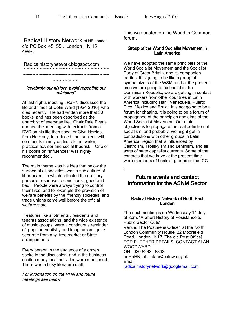Radical History Network of NE London c/o PO Box 45155 , London , N 15 4WR.

Radicalhistorynetwork.blogspot.com

~~~~~~~~ "celebrate our history, avoid repeating our mistakes"

~~~~~~~~~~~~~~~~~~~~~~~~~~~~~<br>. ~~~~~~~~~~~~~~~~~~~~~~~~~~~~~<br>.

At last nights meeting , RaHN discussed the life and times of Colin Ward [1924-2010] who died recently. He had written more that 30 books and has been described as the anarchist of everyday life. Chair Dale Evans opened the meeting with extracts from a DVD on his life then speaker Glyn Harries, from Hackney, introduced the subject with comments mainly on his role as writer, practical adviser and social theorist. One of his books on "Influences" was highly recommended .

The main theme was his idea that below the surface of all societies, was a sub culture of libertarian life which reflected the ordinary person's response to conditions , good and bad. People were always trying to control their lives, and for example the provision of welfare benefits by the friendly societies and trade unions came well before the official welfare state

Features like allotments , residents and tenants associations, and the wide existence of music groups were a continuous reminder of popular creativity and imagination, quite separate from any free market or State arrangements.

Every person in the audience of a dozen spoke in the discussion, and in the business section many local activities were mentioned . There was a busy literature stall.

For information on the RHN and future meetings see below

This was posted on the World in Common forum.

#### Group of the World Socialist Movement in Latin America

We have adopted the same principles of the World Socialist Movement and the Socialist Party of Great Britain, and its companion parties. It is going to be like a group of sympathizers of the WSM, and at the present time we are going to be based in the Dominican Republic, we are getting in contact with workers from other countries in Latin America including Haiti, Venezuela, Puerto Rico, Mexico and Brazil. It is not going to be a forum for chatting, it is going to be a forum of propaganda of the principles and aims of the World Socialist Movement. Our main objective is to propagate the real definition of socialism, and probably, we might get in contradictions with other groups in Latin America, region that is influenced by Castroism, Trotskyism and Leninism, and all sorts of state capitalist currents. Some of the contacts that we have at the present time were members of Leninist groups or the ICC.

## Future events and contact information for the ASNM Sector

#### Radical History Network of North East London

The next meeting is on Wednesday 14 July, at 8pm. "A Short History of Resistance to Public Sector Cuts" Venue: The Postmens Office" at the North London Community House, 22 Moorefield Road, London, N17.[The old Post Office] FOR FURTHER DETAILS, CONTACT ALAN WOODWARD ON 020 8292 8862 or RaHN at alan@petew.org.uk Email: [radicalhistorynetwork@googlemail.com](mailto:radicalhistorynetwork@googlemail.com)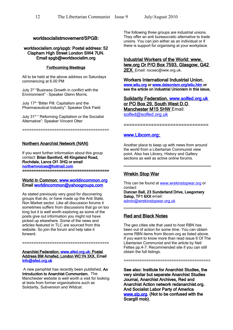#### worldsocialistmovement/SPGB:

#### worldsocialism.org/spgb: Postal address: 52 Clapham High Street London SW4 7UN. Email spgb@worldsocialim.org

#### Forthcoming Meetings

All to be held at the above address on Saturdays commencing at 6.00 PM

July 3rd "Business Growth in conflict with the Environment" – Speaker Glenn Morris.

July 17<sup>th</sup> "Bitter Pill: Capitalism and the Pharmaceutical Industry": Speaker Dick Field

July 31st " Reforming Capitalism or the Socialist Alternative": Speaker Vincent Otter

======================================

Northern Anarchist Network (NAN)

If you want further information about this group contact: Brian Bamford, 46 Kingsland Road, Rochdale, Lancs Ol1 3HQ or email [northernvoices@hotmail.com](mailto:northernvoices@hotmail.com)  ======================================

#### World In Common: [www.worldincommon.org](http://www.worldincommon.org/) Email [worldincommon@yahoogroups.com](mailto:worldincommon@yahoogroups.com)

As stated previously very good for discovering groups that do, or have made up the Anti State, Non Market sector. Like all discussion forums it sometimes suffers from discussions that go on too long but it is well worth exploring as some of the posts give out information you might not have picked up elsewhere. Some of the news and articles featured in TLC are sourced from this website. So join the forum and help take it forward.

Anarchist Federation: www.afed.org.uk: Postal Address BM Arnafed, London WC1N 3XX. Email [info@afed.org.uk](mailto:info@afed.org.uk) 

======================================

 A new pamphlet has recently been published, An Introduction to Anarchist Communism. The Manchester website is well worth a visit for looking at texts from former organisations such as Solidarity, Subversion and Wildcat.

The following three groups are industrial unions. They offer an anti bureaucratic alternative to trade unions. You can join either as an individual or if there is support for organising at your workplace.

#### Industrial Workers of the World: www. iww.org Or P/O Box 7593, Glasgow, G42 2EX Email: rocsec@iww.org.uk.

Workers International Industrial Union. [www.wiiu.org](http://www.wiiu.org/) or [www.deleonism.org/wiiu.htm](http://www.deleonism.org/wiiu.htm) or see the article on Industrial Unionism in this issue,

Solidarity Federation. www.solfed.org.uk or PO Box 29, South West D.O Manchester M15 5HW Email: [solfed@solfed.org.uk](mailto:solfed@solfed.org.uk)

===============================

#### www.Libcom.org

Another place to keep up with news from around the world from a Libertarian Communist view point. Also has Library, History and Gallery sections as well as active online forums.

## Wrekin Stop War

This can be found at [www.wrekinstopwar.org](http://www.wrekinstopwar.org/) or contact

Duncan Ball, 23 Sunderland Drive, Leegomery Salop, TF1 6XX email: [admin@wrekinstopwar.org.uk](mailto:admin@wrekinstopwar.org.uk)

## Red and Black Notes

The geo cities site that used to host RBN has been out of action for some time. You can obtain some RBN items from libcom.org as listed above. If you want to know more than read issue 6 Of The Libertarian Communist and the article by Neil Fettes pp.4-7. Recommended site if you can still obtain the full listings.

======================================

See also: Institute for Anarchist Studies, the very similar but separate Anarchist Studies Journal, Anarchist Archives, Red and Anarchist Action network redanarchist.org. And Socialist Labor Party of America [www.slp.org.](http://www.slp.org/) (Not to be confused with the Scargill mob).